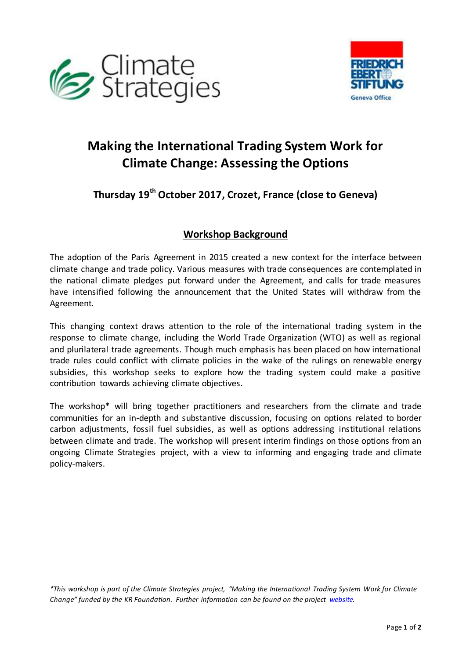



# **Making the International Trading System Work for Climate Change: Assessing the Options**

### **Thursday 19th October 2017, Crozet, France (close to Geneva)**

#### **Workshop Background**

The adoption of the Paris Agreement in 2015 created a new context for the interface between climate change and trade policy. Various measures with trade consequences are contemplated in the national climate pledges put forward under the Agreement, and calls for trade measures have intensified following the announcement that the United States will withdraw from the Agreement.

This changing context draws attention to the role of the international trading system in the response to climate change, including the World Trade Organization (WTO) as well as regional and plurilateral trade agreements. Though much emphasis has been placed on how international trade rules could conflict with climate policies in the wake of the rulings on renewable energy subsidies, this workshop seeks to explore how the trading system could make a positive contribution towards achieving climate objectives.

The workshop\* will bring together practitioners and researchers from the climate and trade communities for an in-depth and substantive discussion, focusing on options related to border carbon adjustments, fossil fuel subsidies, as well as options addressing institutional relations between climate and trade. The workshop will present interim findings on those options from an ongoing Climate Strategies project, with a view to informing and engaging trade and climate policy-makers.

*\*This workshop is part of the Climate Strategies project, "Making the International Trading System Work for Climate*  Change" funded by the KR Foundation. Further information can be found on the project *website*.